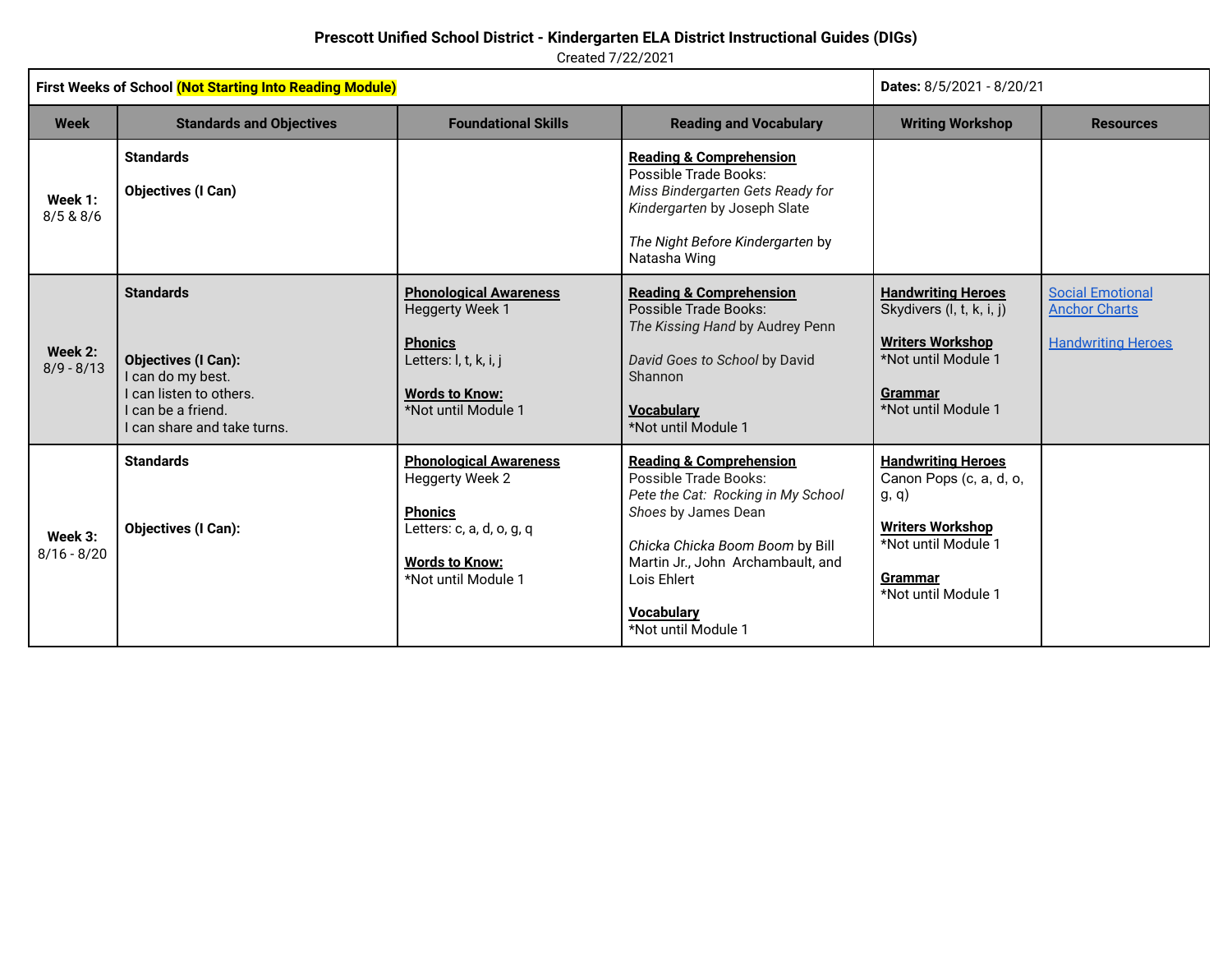Created 7/22/2021

| First Weeks of School (Not Starting Into Reading Module) |                                                                                                                                                 |                                                                                                                                                        |                                                                                                                                                                                                                                                             | Dates: 8/5/2021 - 8/20/21                                                                                                                                |                                                                              |
|----------------------------------------------------------|-------------------------------------------------------------------------------------------------------------------------------------------------|--------------------------------------------------------------------------------------------------------------------------------------------------------|-------------------------------------------------------------------------------------------------------------------------------------------------------------------------------------------------------------------------------------------------------------|----------------------------------------------------------------------------------------------------------------------------------------------------------|------------------------------------------------------------------------------|
| <b>Week</b>                                              | <b>Standards and Objectives</b>                                                                                                                 | <b>Foundational Skills</b>                                                                                                                             | <b>Reading and Vocabulary</b>                                                                                                                                                                                                                               | <b>Writing Workshop</b>                                                                                                                                  | <b>Resources</b>                                                             |
| Week 1:<br>8/5 & 8/6                                     | <b>Standards</b><br><b>Objectives (I Can)</b>                                                                                                   |                                                                                                                                                        | <b>Reading &amp; Comprehension</b><br>Possible Trade Books:<br>Miss Bindergarten Gets Ready for<br>Kindergarten by Joseph Slate<br>The Night Before Kindergarten by<br>Natasha Wing                                                                         |                                                                                                                                                          |                                                                              |
| Week 2:<br>$8/9 - 8/13$                                  | <b>Standards</b><br><b>Objectives (I Can):</b><br>I can do my best.<br>I can listen to others.<br>can be a friend.<br>can share and take turns. | <b>Phonological Awareness</b><br><b>Heggerty Week 1</b><br><b>Phonics</b><br>Letters: I, t, k, i, j<br><b>Words to Know:</b><br>*Not until Module 1    | <b>Reading &amp; Comprehension</b><br>Possible Trade Books:<br>The Kissing Hand by Audrey Penn<br>David Goes to School by David<br>Shannon<br><b>Vocabulary</b><br>*Not until Module 1                                                                      | <b>Handwriting Heroes</b><br>Skydivers (I, t, k, i, j)<br><b>Writers Workshop</b><br>*Not until Module 1<br><b>Grammar</b><br>*Not until Module 1        | <b>Social Emotional</b><br><b>Anchor Charts</b><br><b>Handwriting Heroes</b> |
| Week 3:<br>$8/16 - 8/20$                                 | <b>Standards</b><br><b>Objectives (I Can):</b>                                                                                                  | <b>Phonological Awareness</b><br><b>Heggerty Week 2</b><br><b>Phonics</b><br>Letters: c, a, d, o, g, q<br><b>Words to Know:</b><br>*Not until Module 1 | <b>Reading &amp; Comprehension</b><br>Possible Trade Books:<br>Pete the Cat: Rocking in My School<br>Shoes by James Dean<br>Chicka Chicka Boom Boom by Bill<br>Martin Jr., John Archambault, and<br>Lois Ehlert<br><b>Vocabulary</b><br>*Not until Module 1 | <b>Handwriting Heroes</b><br>Canon Pops (c, a, d, o,<br>g, q)<br><b>Writers Workshop</b><br>*Not until Module 1<br><b>Grammar</b><br>*Not until Module 1 |                                                                              |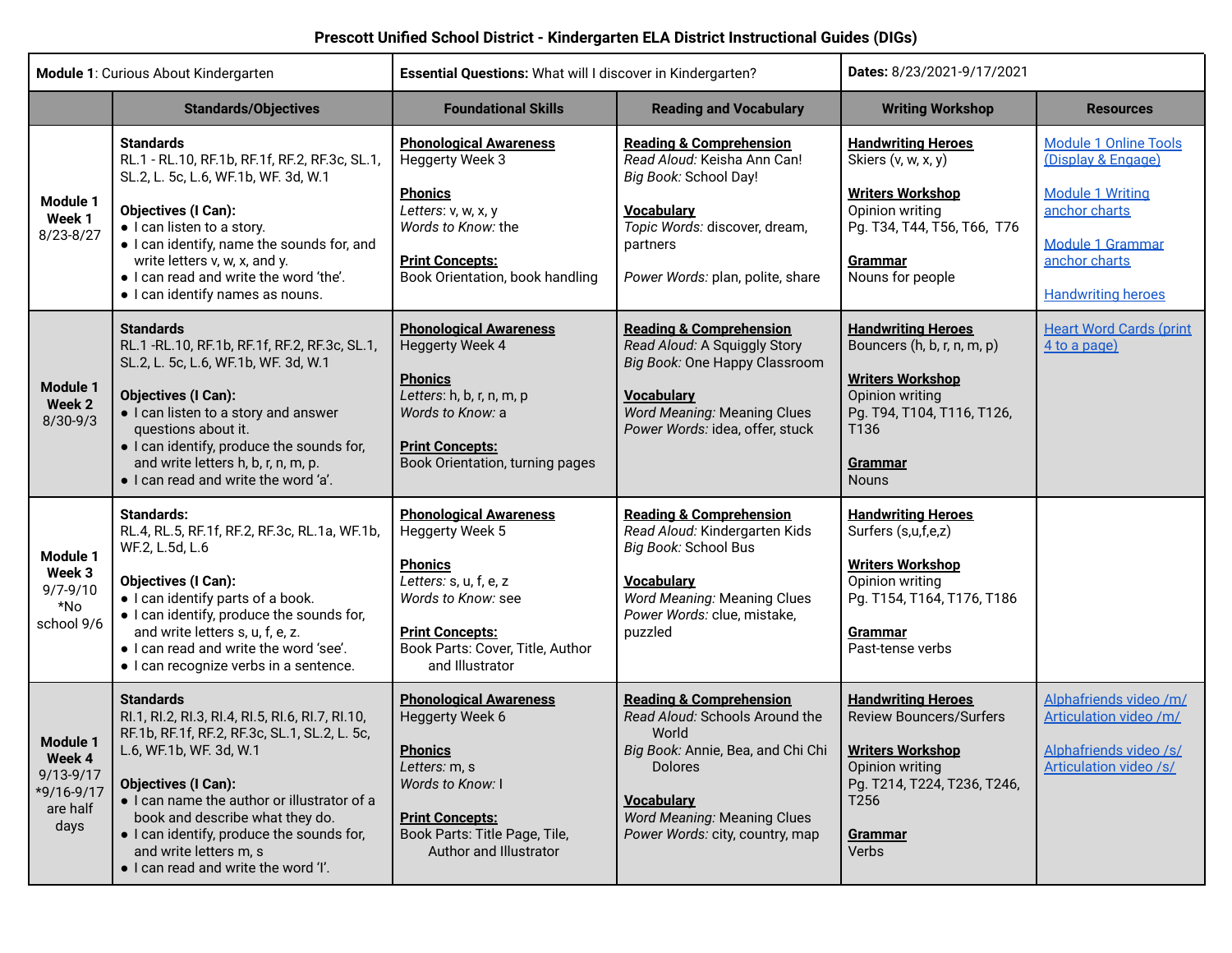| <b>Module 1: Curious About Kindergarten</b>                           |                                                                                                                                                                                                                                                                                                                                                                                 | Essential Questions: What will I discover in Kindergarten?                                                                                                                                          |                                                                                                                                                                                                                                                       | Dates: 8/23/2021-9/17/2021                                                                                                                                                     |                                                                                                                                                                         |
|-----------------------------------------------------------------------|---------------------------------------------------------------------------------------------------------------------------------------------------------------------------------------------------------------------------------------------------------------------------------------------------------------------------------------------------------------------------------|-----------------------------------------------------------------------------------------------------------------------------------------------------------------------------------------------------|-------------------------------------------------------------------------------------------------------------------------------------------------------------------------------------------------------------------------------------------------------|--------------------------------------------------------------------------------------------------------------------------------------------------------------------------------|-------------------------------------------------------------------------------------------------------------------------------------------------------------------------|
|                                                                       | <b>Standards/Objectives</b>                                                                                                                                                                                                                                                                                                                                                     | <b>Foundational Skills</b>                                                                                                                                                                          | <b>Reading and Vocabulary</b>                                                                                                                                                                                                                         | <b>Writing Workshop</b>                                                                                                                                                        | <b>Resources</b>                                                                                                                                                        |
| <b>Module 1</b><br>Week 1<br>8/23-8/27                                | <b>Standards</b><br>RL.1 - RL.10, RF.1b, RF.1f, RF.2, RF.3c, SL.1,<br>SL.2, L. 5c, L.6, WF.1b, WF. 3d, W.1<br><b>Objectives (I Can):</b><br>• I can listen to a story.<br>. I can identify, name the sounds for, and<br>write letters v, w, x, and y.<br>. I can read and write the word 'the'.<br>· I can identify names as nouns.                                             | <b>Phonological Awareness</b><br><b>Heggerty Week 3</b><br><b>Phonics</b><br>Letters: v, w, x, y<br>Words to Know: the<br><b>Print Concepts:</b><br>Book Orientation, book handling                 | <b>Reading &amp; Comprehension</b><br>Read Aloud: Keisha Ann Can!<br>Big Book: School Day!<br><b>Vocabulary</b><br>Topic Words: discover, dream,<br>partners<br>Power Words: plan, polite, share                                                      | <b>Handwriting Heroes</b><br>Skiers (v, w, x, y)<br><b>Writers Workshop</b><br>Opinion writing<br>Pg. T34, T44, T56, T66, T76<br>Grammar<br>Nouns for people                   | <b>Module 1 Online Tools</b><br>(Display & Engage)<br><b>Module 1 Writing</b><br>anchor charts<br><b>Module 1 Grammar</b><br>anchor charts<br><b>Handwriting heroes</b> |
| Module 1<br>Week 2<br>$8/30 - 9/3$                                    | <b>Standards</b><br>RL.1 - RL.10, RF.1b, RF.1f, RF.2, RF.3c, SL.1,<br>SL.2, L. 5c, L.6, WF.1b, WF. 3d, W.1<br><b>Objectives (I Can):</b><br>• I can listen to a story and answer<br>questions about it.<br>• I can identify, produce the sounds for,<br>and write letters h, b, r, n, m, p.<br>. I can read and write the word 'a'.                                             | <b>Phonological Awareness</b><br><b>Heggerty Week 4</b><br><b>Phonics</b><br>Letters: h, b, r, n, m, p<br>Words to Know: a<br><b>Print Concepts:</b><br>Book Orientation, turning pages             | <b>Reading &amp; Comprehension</b><br>Read Aloud: A Squiggly Story<br>Big Book: One Happy Classroom<br><b>Vocabularv</b><br><b>Word Meaning: Meaning Clues</b><br>Power Words: idea, offer, stuck                                                     | <b>Handwriting Heroes</b><br>Bouncers (h, b, r, n, m, p)<br><b>Writers Workshop</b><br>Opinion writing<br>Pg. T94, T104, T116, T126,<br>T136<br><b>Grammar</b><br><b>Nouns</b> | <b>Heart Word Cards (print</b><br>4 to a page)                                                                                                                          |
| Module 1<br>Week 3<br>$9/7 - 9/10$<br>*No<br>school 9/6               | <b>Standards:</b><br>RL.4, RL.5, RF.1f, RF.2, RF.3c, RL.1a, WF.1b,<br>WF.2, L.5d, L.6<br><b>Objectives (I Can):</b><br>· I can identify parts of a book.<br>• I can identify, produce the sounds for,<br>and write letters s, u, f, e, z.<br>. I can read and write the word 'see'.<br>• I can recognize verbs in a sentence.                                                   | <b>Phonological Awareness</b><br>Heggerty Week 5<br><b>Phonics</b><br>Letters: s, u, f, e, z<br>Words to Know: see<br><b>Print Concepts:</b><br>Book Parts: Cover, Title, Author<br>and Illustrator | <b>Reading &amp; Comprehension</b><br>Read Aloud: Kindergarten Kids<br>Big Book: School Bus<br><b>Vocabulary</b><br><b>Word Meaning: Meaning Clues</b><br>Power Words: clue, mistake,<br>puzzled                                                      | <b>Handwriting Heroes</b><br>Surfers (s,u,f,e,z)<br><b>Writers Workshop</b><br>Opinion writing<br>Pg. T154, T164, T176, T186<br><b>Grammar</b><br>Past-tense verbs             |                                                                                                                                                                         |
| Module 1<br>Week 4<br>$9/13 - 9/17$<br>*9/16-9/17<br>are half<br>days | <b>Standards</b><br>RI.1, RI.2, RI.3, RI.4, RI.5, RI.6, RI.7, RI.10,<br>RF.1b, RF.1f, RF.2, RF.3c, SL.1, SL.2, L. 5c,<br>L.6, WF.1b, WF. 3d, W.1<br><b>Objectives (I Can):</b><br>. I can name the author or illustrator of a<br>book and describe what they do.<br>· I can identify, produce the sounds for,<br>and write letters m, s<br>. I can read and write the word 'I'. | <b>Phonological Awareness</b><br>Heggerty Week 6<br><b>Phonics</b><br>Letters: m, s<br>Words to Know: I<br><b>Print Concepts:</b><br>Book Parts: Title Page, Tile,<br>Author and Illustrator        | <b>Reading &amp; Comprehension</b><br>Read Aloud: Schools Around the<br>World<br>Big Book: Annie, Bea, and Chi Chi   Writers Workshop<br><b>Dolores</b><br><b>Vocabulary</b><br><b>Word Meaning: Meaning Clues</b><br>Power Words: city, country, map | <b>Handwriting Heroes</b><br><b>Review Bouncers/Surfers</b><br>Opinion writing<br>Pg. T214, T224, T236, T246,<br>T256<br>Grammar<br>Verbs                                      | Alphafriends video /m/<br>Articulation video /m/<br>Alphafriends video /s/<br>Articulation video /s/                                                                    |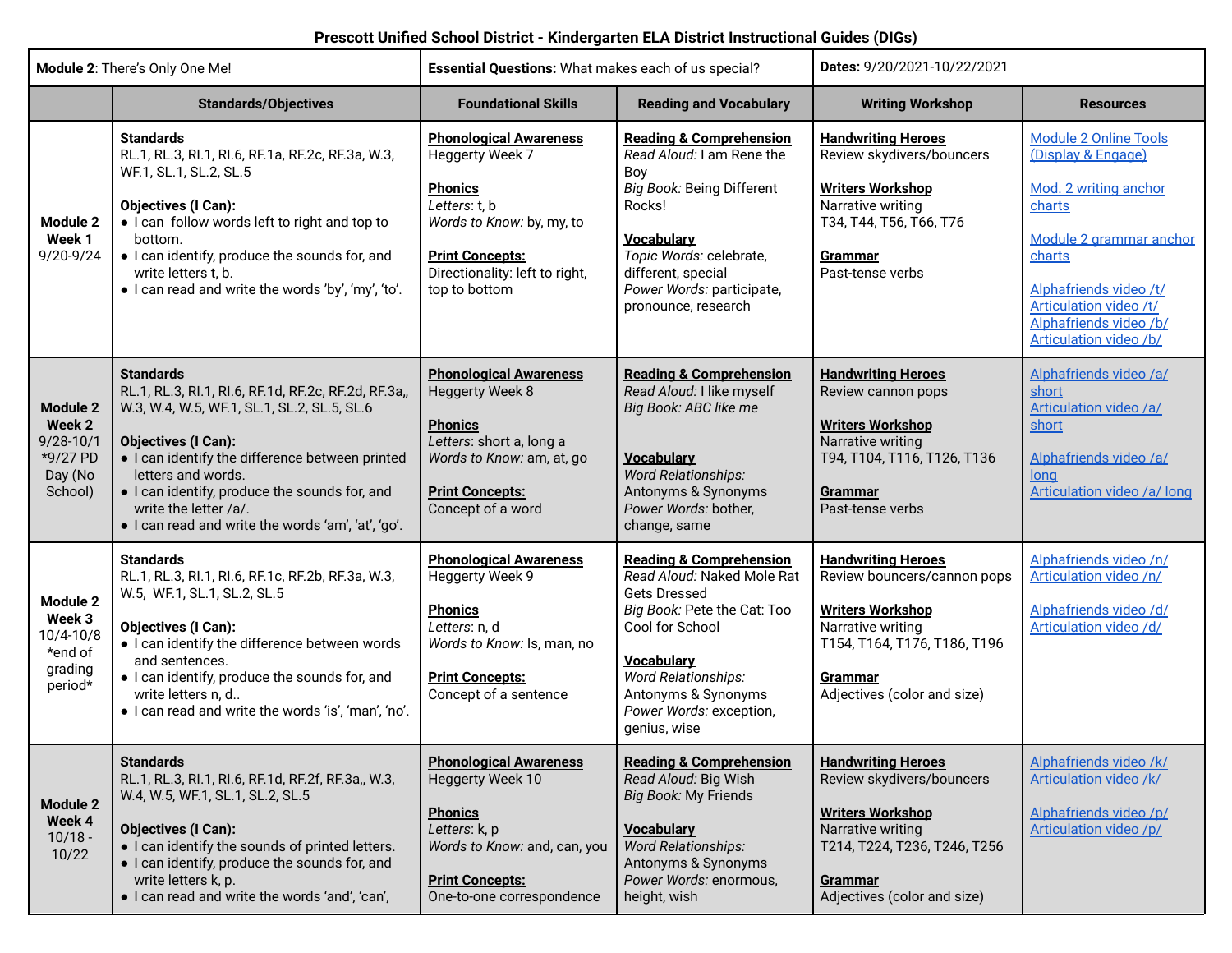| Module 2: There's Only One Me!                                               |                                                                                                                                                                                                                                                                                                                                                                | Essential Questions: What makes each of us special?                                                                                                                                           |                                                                                                                                                                                                                                                                | Dates: 9/20/2021-10/22/2021                                                                                                                                                             |                                                                                                                                                                                                                                    |
|------------------------------------------------------------------------------|----------------------------------------------------------------------------------------------------------------------------------------------------------------------------------------------------------------------------------------------------------------------------------------------------------------------------------------------------------------|-----------------------------------------------------------------------------------------------------------------------------------------------------------------------------------------------|----------------------------------------------------------------------------------------------------------------------------------------------------------------------------------------------------------------------------------------------------------------|-----------------------------------------------------------------------------------------------------------------------------------------------------------------------------------------|------------------------------------------------------------------------------------------------------------------------------------------------------------------------------------------------------------------------------------|
|                                                                              | <b>Standards/Objectives</b>                                                                                                                                                                                                                                                                                                                                    | <b>Foundational Skills</b>                                                                                                                                                                    | <b>Reading and Vocabulary</b>                                                                                                                                                                                                                                  | <b>Writing Workshop</b>                                                                                                                                                                 | <b>Resources</b>                                                                                                                                                                                                                   |
| Module 2<br>Week 1<br>9/20-9/24                                              | <b>Standards</b><br>RL.1, RL.3, RI.1, RI.6, RF.1a, RF.2c, RF.3a, W.3,<br>WF.1, SL.1, SL.2, SL.5<br><b>Objectives (I Can):</b><br>. I can follow words left to right and top to<br>bottom.<br>. I can identify, produce the sounds for, and<br>write letters t, b.<br>. I can read and write the words 'by', 'my', 'to'.                                        | <b>Phonological Awareness</b><br>Heggerty Week 7<br><b>Phonics</b><br>Letters: t, b<br>Words to Know: by, my, to<br><b>Print Concepts:</b><br>Directionality: left to right,<br>top to bottom | <b>Reading &amp; Comprehension</b><br>Read Aloud: I am Rene the<br>Boy<br>Big Book: Being Different<br>Rocks!<br><b>Vocabulary</b><br>Topic Words: celebrate,<br>different, special<br>Power Words: participate,<br>pronounce, research                        | <b>Handwriting Heroes</b><br>Review skydivers/bouncers<br><b>Writers Workshop</b><br>Narrative writing<br>T34, T44, T56, T66, T76<br><b>Grammar</b><br>Past-tense verbs                 | <b>Module 2 Online Tools</b><br>(Display & Engage)<br>Mod. 2 writing anchor<br>charts<br>Module 2 grammar anchor<br>charts<br>Alphafriends video /t/<br>Articulation video /t/<br>Alphafriends video /b/<br>Articulation video /b/ |
| <b>Module 2</b><br>Week 2<br>$9/28 - 10/1$<br>*9/27 PD<br>Day (No<br>School) | <b>Standards</b><br>RL.1, RL.3, RI.1, RI.6, RF.1d, RF.2c, RF.2d, RF.3a,,<br>W.3, W.4, W.5, WF.1, SL.1, SL.2, SL.5, SL.6<br><b>Objectives (I Can):</b><br>• I can identify the difference between printed<br>letters and words.<br>. I can identify, produce the sounds for, and<br>write the letter /a/.<br>. I can read and write the words 'am', 'at', 'go'. | <b>Phonological Awareness</b><br>Heggerty Week 8<br><b>Phonics</b><br>Letters: short a, long a<br>Words to Know: am, at, go<br><b>Print Concepts:</b><br>Concept of a word                    | <b>Reading &amp; Comprehension</b><br>Read Aloud: I like myself<br>Big Book: ABC like me<br><b>Vocabulary</b><br><b>Word Relationships:</b><br>Antonyms & Synonyms<br>Power Words: bother,<br>change, same                                                     | <b>Handwriting Heroes</b><br>Review cannon pops<br><b>Writers Workshop</b><br>Narrative writing<br>T94, T104, T116, T126, T136<br>Grammar<br>Past-tense verbs                           | Alphafriends video /a/<br>short<br>Articulation video /a/<br>short<br>Alphafriends video /a/<br>long<br>Articulation video /a/ long                                                                                                |
| <b>Module 2</b><br>Week 3<br>$10/4 - 10/8$<br>*end of<br>grading<br>period*  | <b>Standards</b><br>RL.1, RL.3, RI.1, RI.6, RF.1c, RF.2b, RF.3a, W.3,<br>W.5, WF.1, SL.1, SL.2, SL.5<br><b>Objectives (I Can):</b><br>• I can identify the difference between words<br>and sentences.<br>. I can identify, produce the sounds for, and<br>write letters n, d<br>· I can read and write the words 'is', 'man', 'no'.                            | <b>Phonological Awareness</b><br>Heggerty Week 9<br><b>Phonics</b><br>Letters: n, d<br>Words to Know: Is, man, no<br><b>Print Concepts:</b><br>Concept of a sentence                          | <b>Reading &amp; Comprehension</b><br>Read Aloud: Naked Mole Rat<br><b>Gets Dressed</b><br>Big Book: Pete the Cat: Too<br>Cool for School<br><b>Vocabulary</b><br><b>Word Relationships:</b><br>Antonyms & Synonyms<br>Power Words: exception,<br>genius, wise | <b>Handwriting Heroes</b><br>Review bouncers/cannon pops<br><b>Writers Workshop</b><br>Narrative writing<br>T154, T164, T176, T186, T196<br>Grammar<br>Adjectives (color and size)      | Alphafriends video /n/<br>Articulation video /n/<br>Alphafriends video /d/<br>Articulation video /d/                                                                                                                               |
| <b>Module 2</b><br>Week 4<br>$10/18 -$<br>10/22                              | <b>Standards</b><br>RL.1, RL.3, RI.1, RI.6, RF.1d, RF.2f, RF.3a,, W.3,<br>W.4, W.5, WF.1, SL.1, SL.2, SL.5<br><b>Objectives (I Can):</b><br>• I can identify the sounds of printed letters.<br>• I can identify, produce the sounds for, and<br>write letters k, p.<br>. I can read and write the words 'and', 'can',                                          | <b>Phonological Awareness</b><br>Heggerty Week 10<br><b>Phonics</b><br>Letters: k, p<br>Words to Know: and, can, you<br><b>Print Concepts:</b><br>One-to-one correspondence                   | <b>Reading &amp; Comprehension</b><br>Read Aloud: Big Wish<br>Big Book: My Friends<br><b>Vocabulary</b><br><b>Word Relationships:</b><br>Antonyms & Synonyms<br>Power Words: enormous,<br>height, wish                                                         | <b>Handwriting Heroes</b><br>Review skydivers/bouncers<br><b>Writers Workshop</b><br>Narrative writing<br>T214, T224, T236, T246, T256<br><b>Grammar</b><br>Adjectives (color and size) | Alphafriends video /k/<br>Articulation video /k/<br>Alphafriends video /p/<br>Articulation video /p/                                                                                                                               |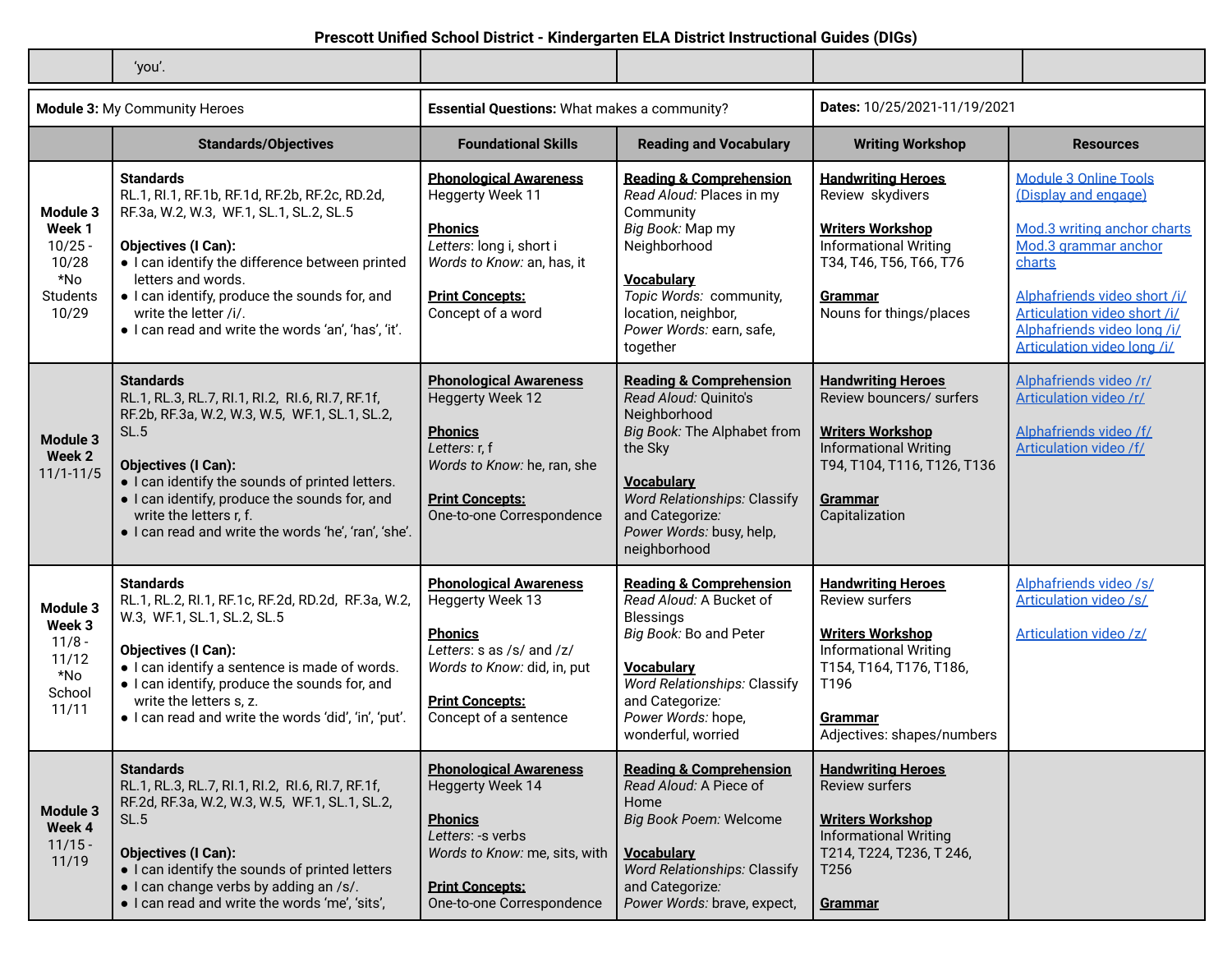|                                                                      | 'you'.                                                                                                                                                                                                                                                                                                                                                     |                                                                                                                                                                                         |                                                                                                                                                                                                                                                  |                                                                                                                                                                                           |                                                                                                                                                                                                                                                     |
|----------------------------------------------------------------------|------------------------------------------------------------------------------------------------------------------------------------------------------------------------------------------------------------------------------------------------------------------------------------------------------------------------------------------------------------|-----------------------------------------------------------------------------------------------------------------------------------------------------------------------------------------|--------------------------------------------------------------------------------------------------------------------------------------------------------------------------------------------------------------------------------------------------|-------------------------------------------------------------------------------------------------------------------------------------------------------------------------------------------|-----------------------------------------------------------------------------------------------------------------------------------------------------------------------------------------------------------------------------------------------------|
|                                                                      | Module 3: My Community Heroes                                                                                                                                                                                                                                                                                                                              | <b>Essential Questions: What makes a community?</b>                                                                                                                                     |                                                                                                                                                                                                                                                  | Dates: 10/25/2021-11/19/2021                                                                                                                                                              |                                                                                                                                                                                                                                                     |
|                                                                      | <b>Standards/Objectives</b>                                                                                                                                                                                                                                                                                                                                | <b>Foundational Skills</b>                                                                                                                                                              | <b>Reading and Vocabulary</b>                                                                                                                                                                                                                    | <b>Writing Workshop</b>                                                                                                                                                                   | <b>Resources</b>                                                                                                                                                                                                                                    |
| Module 3<br>Week 1<br>$10/25 -$<br>10/28<br>*No<br>Students<br>10/29 | <b>Standards</b><br>RL.1, RI.1, RF.1b, RF.1d, RF.2b, RF.2c, RD.2d,<br>RF.3a, W.2, W.3, WF.1, SL.1, SL.2, SL.5<br><b>Objectives (I Can):</b><br>• I can identify the difference between printed<br>letters and words.<br>. I can identify, produce the sounds for, and<br>write the letter /i/.<br>. I can read and write the words 'an', 'has', 'it'.      | <b>Phonological Awareness</b><br>Heggerty Week 11<br><b>Phonics</b><br>Letters: long i, short i<br>Words to Know: an, has, it<br><b>Print Concepts:</b><br>Concept of a word            | <b>Reading &amp; Comprehension</b><br>Read Aloud: Places in my<br>Community<br>Big Book: Map my<br>Neighborhood<br><b>Vocabulary</b><br>Topic Words: community,<br>location, neighbor,<br>Power Words: earn, safe,<br>together                   | <b>Handwriting Heroes</b><br>Review skydivers<br><b>Writers Workshop</b><br><b>Informational Writing</b><br>T34, T46, T56, T66, T76<br>Grammar<br>Nouns for things/places                 | <b>Module 3 Online Tools</b><br>(Display and engage)<br>Mod.3 writing anchor charts<br>Mod.3 grammar anchor<br>charts<br>Alphafriends video short /i/<br>Articulation video short /i/<br>Alphafriends video long /i/<br>Articulation video long /i/ |
| <b>Module 3</b><br>Week 2<br>$11/1 - 11/5$                           | <b>Standards</b><br>RL.1, RL.3, RL.7, RI.1, RI.2, RI.6, RI.7, RF.1f,<br>RF.2b, RF.3a, W.2, W.3, W.5, WF.1, SL.1, SL.2,<br><b>SL.5</b><br><b>Objectives (I Can):</b><br>• I can identify the sounds of printed letters.<br>. I can identify, produce the sounds for, and<br>write the letters r, f.<br>. I can read and write the words 'he', 'ran', 'she'. | <b>Phonological Awareness</b><br><b>Heggerty Week 12</b><br><b>Phonics</b><br>Letters: r, f<br>Words to Know: he, ran, she<br><b>Print Concepts:</b><br>One-to-one Correspondence       | <b>Reading &amp; Comprehension</b><br>Read Aloud: Quinito's<br>Neighborhood<br>Big Book: The Alphabet from<br>the Sky<br><b>Vocabulary</b><br><b>Word Relationships: Classify</b><br>and Categorize:<br>Power Words: busy, help,<br>neighborhood | <b>Handwriting Heroes</b><br>Review bouncers/ surfers<br><b>Writers Workshop</b><br><b>Informational Writing</b><br>T94, T104, T116, T126, T136<br>Grammar<br>Capitalization              | Alphafriends video /r/<br><b>Articulation video/r/</b><br>Alphafriends video /f/<br><b>Articulation video /f/</b>                                                                                                                                   |
| Module 3<br>Week 3<br>$11/8 -$<br>11/12<br>*No<br>School<br>11/11    | <b>Standards</b><br>RL.1, RL.2, RI.1, RF.1c, RF.2d, RD.2d, RF.3a, W.2,<br>W.3, WF.1, SL.1, SL.2, SL.5<br><b>Objectives (I Can):</b><br>· I can identify a sentence is made of words.<br>. I can identify, produce the sounds for, and<br>write the letters s, z.<br>. I can read and write the words 'did', 'in', 'put'.                                   | <b>Phonological Awareness</b><br>Heggerty Week 13<br><b>Phonics</b><br>Letters: s as /s/ and /z/<br>Words to Know: did, in, put<br><b>Print Concepts:</b><br>Concept of a sentence      | <b>Reading &amp; Comprehension</b><br>Read Aloud: A Bucket of<br>Blessings<br>Big Book: Bo and Peter<br><b>Vocabulary</b><br><b>Word Relationships: Classify</b><br>and Categorize:<br>Power Words: hope,<br>wonderful, worried                  | <b>Handwriting Heroes</b><br><b>Review surfers</b><br><b>Writers Workshop</b><br><b>Informational Writing</b><br>T154, T164, T176, T186,<br>T196<br>Grammar<br>Adjectives: shapes/numbers | Alphafriends video /s/<br><b>Articulation video /s/</b><br>Articulation video /z/                                                                                                                                                                   |
| <b>Module 3</b><br>Week 4<br>$11/15 -$<br>11/19                      | <b>Standards</b><br>RL.1, RL.3, RL.7, RI.1, RI.2, RI.6, RI.7, RF.1f,<br>RF.2d, RF.3a, W.2, W.3, W.5, WF.1, SL.1, SL.2,<br>SL.5<br><b>Objectives (I Can):</b><br>• I can identify the sounds of printed letters<br>• I can change verbs by adding an /s/.<br>· I can read and write the words 'me', 'sits',                                                 | <b>Phonological Awareness</b><br><b>Heggerty Week 14</b><br><b>Phonics</b><br>Letters: -s verbs<br>Words to Know: me, sits, with<br><b>Print Concepts:</b><br>One-to-one Correspondence | <b>Reading &amp; Comprehension</b><br>Read Aloud: A Piece of<br>Home<br>Big Book Poem: Welcome<br><b>Vocabulary</b><br><b>Word Relationships: Classify</b><br>and Categorize:<br>Power Words: brave, expect,                                     | <b>Handwriting Heroes</b><br>Review surfers<br><b>Writers Workshop</b><br><b>Informational Writing</b><br>T214, T224, T236, T246,<br>T <sub>256</sub><br><b>Grammar</b>                   |                                                                                                                                                                                                                                                     |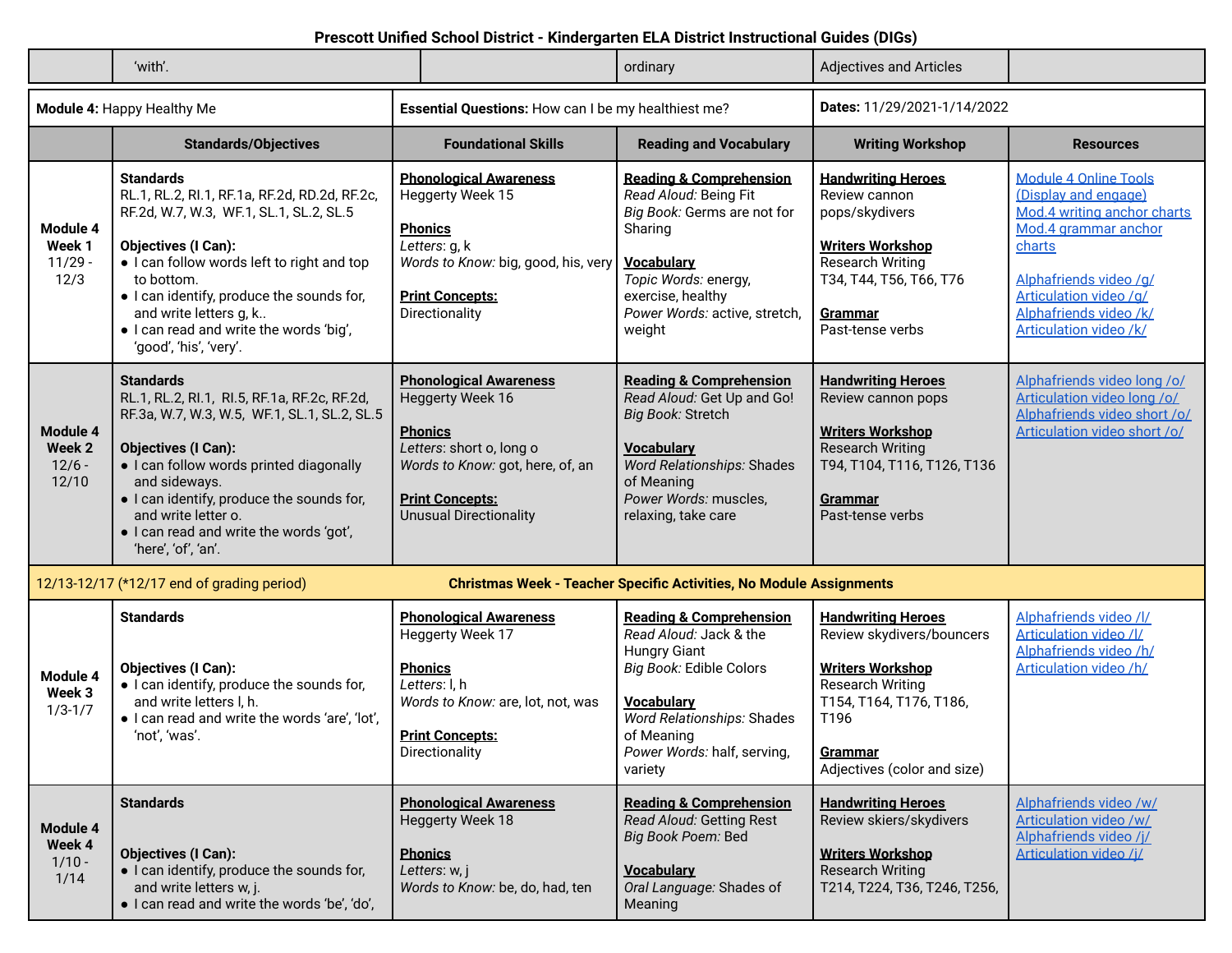|                                         | 'with'.                                                                                                                                                                                                                                                                                                                                            |                                                                                                                                                                                                | ordinary                                                                                                                                                                                                                  | <b>Adjectives and Articles</b>                                                                                                                                                            |                                                                                                                                                                                                                               |
|-----------------------------------------|----------------------------------------------------------------------------------------------------------------------------------------------------------------------------------------------------------------------------------------------------------------------------------------------------------------------------------------------------|------------------------------------------------------------------------------------------------------------------------------------------------------------------------------------------------|---------------------------------------------------------------------------------------------------------------------------------------------------------------------------------------------------------------------------|-------------------------------------------------------------------------------------------------------------------------------------------------------------------------------------------|-------------------------------------------------------------------------------------------------------------------------------------------------------------------------------------------------------------------------------|
|                                         | <b>Module 4: Happy Healthy Me</b>                                                                                                                                                                                                                                                                                                                  | Essential Questions: How can I be my healthiest me?                                                                                                                                            |                                                                                                                                                                                                                           | Dates: 11/29/2021-1/14/2022                                                                                                                                                               |                                                                                                                                                                                                                               |
|                                         | <b>Standards/Objectives</b>                                                                                                                                                                                                                                                                                                                        | <b>Foundational Skills</b>                                                                                                                                                                     | <b>Reading and Vocabulary</b>                                                                                                                                                                                             | <b>Writing Workshop</b>                                                                                                                                                                   | <b>Resources</b>                                                                                                                                                                                                              |
| Module 4<br>Week 1<br>$11/29 -$<br>12/3 | <b>Standards</b><br>RL.1, RL.2, RI.1, RF.1a, RF.2d, RD.2d, RF.2c,<br>RF.2d, W.7, W.3, WF.1, SL.1, SL.2, SL.5<br><b>Objectives (I Can):</b><br>. I can follow words left to right and top<br>to bottom.<br>• I can identify, produce the sounds for,<br>and write letters g, k<br>· I can read and write the words 'big',<br>'good', 'his', 'very'. | <b>Phonological Awareness</b><br>Heggerty Week 15<br><b>Phonics</b><br>Letters: g, k<br>Words to Know: big, good, his, very<br><b>Print Concepts:</b><br>Directionality                        | <b>Reading &amp; Comprehension</b><br>Read Aloud: Being Fit<br>Big Book: Germs are not for<br>Sharing<br><b>Vocabulary</b><br>Topic Words: energy,<br>exercise, healthy<br>Power Words: active, stretch,<br>weight        | <b>Handwriting Heroes</b><br>Review cannon<br>pops/skydivers<br><b>Writers Workshop</b><br><b>Research Writing</b><br>T34, T44, T56, T66, T76<br><b>Grammar</b><br>Past-tense verbs       | <b>Module 4 Online Tools</b><br>(Display and engage)<br>Mod.4 writing anchor charts<br>Mod.4 grammar anchor<br>charts<br>Alphafriends video /q/<br>Articulation video /q/<br>Alphafriends video /k/<br>Articulation video /k/ |
| Module 4<br>Week 2<br>$12/6 -$<br>12/10 | <b>Standards</b><br>RL.1, RL.2, RI.1, RI.5, RF.1a, RF.2c, RF.2d,<br>RF.3a, W.7, W.3, W.5, WF.1, SL.1, SL.2, SL.5<br><b>Objectives (I Can):</b><br>• I can follow words printed diagonally<br>and sideways.<br>. I can identify, produce the sounds for,<br>and write letter o.<br>· I can read and write the words 'got',<br>'here', 'of', 'an'.   | <b>Phonological Awareness</b><br>Heggerty Week 16<br><b>Phonics</b><br>Letters: short o, long o<br>Words to Know: got, here, of, an<br><b>Print Concepts:</b><br><b>Unusual Directionality</b> | <b>Reading &amp; Comprehension</b><br>Read Aloud: Get Up and Go!<br>Big Book: Stretch<br><b>Vocabulary</b><br><b>Word Relationships: Shades</b><br>of Meaning<br>Power Words: muscles,<br>relaxing, take care             | <b>Handwriting Heroes</b><br>Review cannon pops<br><b>Writers Workshop</b><br><b>Research Writing</b><br>T94, T104, T116, T126, T136<br>Grammar<br>Past-tense verbs                       | Alphafriends video long /o/<br>Articulation video long /o/<br>Alphafriends video short /o/<br>Articulation video short /o/                                                                                                    |
|                                         | 12/13-12/17 (*12/17 end of grading period)                                                                                                                                                                                                                                                                                                         |                                                                                                                                                                                                | <b>Christmas Week - Teacher Specific Activities, No Module Assignments</b>                                                                                                                                                |                                                                                                                                                                                           |                                                                                                                                                                                                                               |
| Module 4<br>Week 3<br>$1/3 - 1/7$       | <b>Standards</b><br><b>Objectives (I Can):</b><br>• I can identify, produce the sounds for,<br>and write letters I, h.<br>. I can read and write the words 'are', 'lot',<br>'not', 'was'.                                                                                                                                                          | <b>Phonological Awareness</b><br>Heggerty Week 17<br><b>Phonics</b><br>Letters: I, h<br>Words to Know: are, lot, not, was<br><b>Print Concepts:</b><br>Directionality                          | <b>Reading &amp; Comprehension</b><br>Read Aloud: Jack & the<br><b>Hungry Giant</b><br>Big Book: Edible Colors<br><b>Vocabulary</b><br>Word Relationships: Shades<br>of Meaning<br>Power Words: half, serving,<br>variety | <b>Handwriting Heroes</b><br>Review skydivers/bouncers<br><b>Writers Workshop</b><br><b>Research Writing</b><br>T154, T164, T176, T186,<br>T196<br>Grammar<br>Adjectives (color and size) | Alphafriends video /l/<br><b>Articulation video /l/</b><br>Alphafriends video /h/<br>Articulation video /h/                                                                                                                   |
| Module 4<br>Week 4<br>$1/10 -$<br>1/14  | <b>Standards</b><br><b>Objectives (I Can):</b><br>• I can identify, produce the sounds for,<br>and write letters w, j.<br>· I can read and write the words 'be', 'do',                                                                                                                                                                             | <b>Phonological Awareness</b><br>Heggerty Week 18<br><b>Phonics</b><br>Letters: w, j<br>Words to Know: be, do, had, ten                                                                        | <b>Reading &amp; Comprehension</b><br>Read Aloud: Getting Rest<br>Big Book Poem: Bed<br><b>Vocabulary</b><br>Oral Language: Shades of<br>Meaning                                                                          | <b>Handwriting Heroes</b><br>Review skiers/skydivers<br><b>Writers Workshop</b><br><b>Research Writing</b><br>T214, T224, T36, T246, T256,                                                | Alphafriends video /w/<br><b>Articulation video /w/</b><br>Alphafriends video /j/<br>Articulation video /i/                                                                                                                   |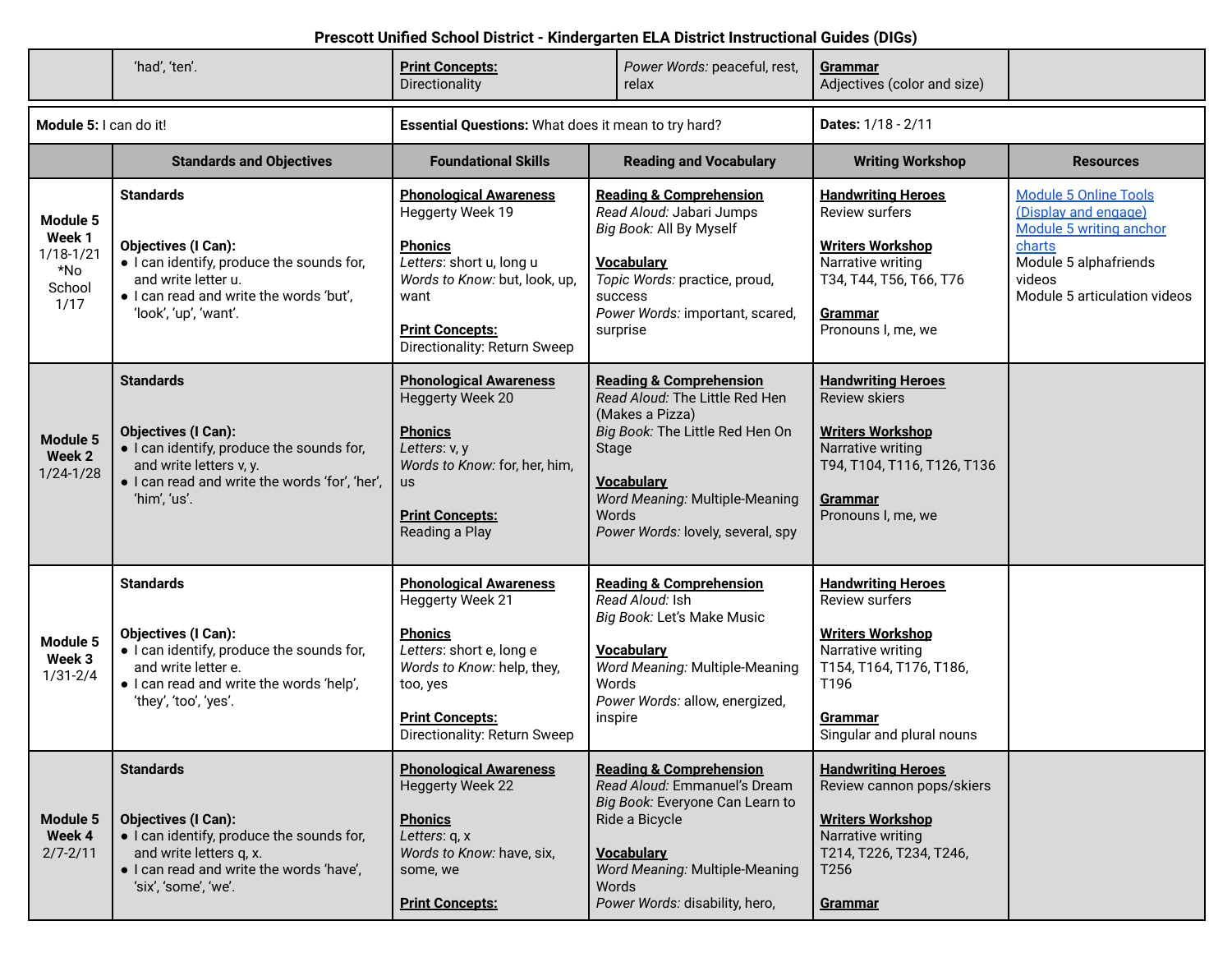|                                                              | 'had', 'ten'.                                                                                                                                                                              | <b>Print Concepts:</b><br>Directionality                                                                                                                                                            | Power Words: peaceful, rest,<br>relax                                                                                                                                                                                                           | <u>Grammar</u><br>Adjectives (color and size)                                                                                                                                 |                                                                                                                                                              |
|--------------------------------------------------------------|--------------------------------------------------------------------------------------------------------------------------------------------------------------------------------------------|-----------------------------------------------------------------------------------------------------------------------------------------------------------------------------------------------------|-------------------------------------------------------------------------------------------------------------------------------------------------------------------------------------------------------------------------------------------------|-------------------------------------------------------------------------------------------------------------------------------------------------------------------------------|--------------------------------------------------------------------------------------------------------------------------------------------------------------|
| Module 5: I can do it!                                       |                                                                                                                                                                                            | Essential Questions: What does it mean to try hard?                                                                                                                                                 |                                                                                                                                                                                                                                                 | <b>Dates: 1/18 - 2/11</b>                                                                                                                                                     |                                                                                                                                                              |
|                                                              | <b>Standards and Objectives</b>                                                                                                                                                            | <b>Foundational Skills</b>                                                                                                                                                                          | <b>Reading and Vocabulary</b>                                                                                                                                                                                                                   | <b>Writing Workshop</b>                                                                                                                                                       | <b>Resources</b>                                                                                                                                             |
| Module 5<br>Week 1<br>$1/18 - 1/21$<br>*No<br>School<br>1/17 | <b>Standards</b><br><b>Objectives (I Can):</b><br>• I can identify, produce the sounds for,<br>and write letter u.<br>· I can read and write the words 'but',<br>'look', 'up', 'want'.     | <b>Phonological Awareness</b><br>Heggerty Week 19<br><b>Phonics</b><br>Letters: short u, long u<br>Words to Know: but, look, up,<br>want<br><b>Print Concepts:</b><br>Directionality: Return Sweep  | <b>Reading &amp; Comprehension</b><br>Read Aloud: Jabari Jumps<br>Big Book: All By Myself<br>Vocabulary<br>Topic Words: practice, proud,<br>success<br>Power Words: important, scared,<br>surprise                                              | <b>Handwriting Heroes</b><br><b>Review surfers</b><br><b>Writers Workshop</b><br>Narrative writing<br>T34, T44, T56, T66, T76<br>Grammar<br>Pronouns I, me, we                | <b>Module 5 Online Tools</b><br>(Display and engage)<br>Module 5 writing anchor<br>charts<br>Module 5 alphafriends<br>videos<br>Module 5 articulation videos |
| Module 5<br>Week 2<br>$1/24 - 1/28$                          | <b>Standards</b><br><b>Objectives (I Can):</b><br>• I can identify, produce the sounds for,<br>and write letters v, y.<br>· I can read and write the words 'for', 'her',<br>'him', 'us'.   | <b>Phonological Awareness</b><br><b>Heggerty Week 20</b><br><b>Phonics</b><br>Letters: v, y<br>Words to Know: for, her, him,<br><b>US</b><br><b>Print Concepts:</b><br>Reading a Play               | <b>Reading &amp; Comprehension</b><br>Read Aloud: The Little Red Hen<br>(Makes a Pizza)<br>Big Book: The Little Red Hen On<br><b>Stage</b><br><b>Vocabulary</b><br>Word Meaning: Multiple-Meaning<br>Words<br>Power Words: lovely, several, spy | <b>Handwriting Heroes</b><br><b>Review skiers</b><br><b>Writers Workshop</b><br>Narrative writing<br>T94, T104, T116, T126, T136<br><b>Grammar</b><br>Pronouns I, me, we      |                                                                                                                                                              |
| Module 5<br>Week 3<br>$1/31 - 2/4$                           | <b>Standards</b><br><b>Objectives (I Can):</b><br>· I can identify, produce the sounds for,<br>and write letter e.<br>· I can read and write the words 'help',<br>'they', 'too', 'yes'.    | <b>Phonological Awareness</b><br>Heggerty Week 21<br><b>Phonics</b><br>Letters: short e, long e<br>Words to Know: help, they,<br>too, yes<br><b>Print Concepts:</b><br>Directionality: Return Sweep | <b>Reading &amp; Comprehension</b><br>Read Aloud: Ish<br>Big Book: Let's Make Music<br><b>Vocabulary</b><br>Word Meaning: Multiple-Meaning<br>Words<br>Power Words: allow, energized,<br>inspire                                                | <b>Handwriting Heroes</b><br><b>Review surfers</b><br><b>Writers Workshop</b><br>Narrative writing<br>T154, T164, T176, T186,<br>T196<br>Grammar<br>Singular and plural nouns |                                                                                                                                                              |
| Module 5<br>Week 4<br>$2/7 - 2/11$                           | <b>Standards</b><br><b>Objectives (I Can):</b><br>• I can identify, produce the sounds for,<br>and write letters q, x.<br>. I can read and write the words 'have',<br>'six', 'some', 'we'. | <b>Phonological Awareness</b><br><b>Heggerty Week 22</b><br><b>Phonics</b><br>Letters: q, x<br>Words to Know: have, six,<br>some, we<br><b>Print Concepts:</b>                                      | <b>Reading &amp; Comprehension</b><br>Read Aloud: Emmanuel's Dream<br>Big Book: Everyone Can Learn to<br>Ride a Bicycle<br><b>Vocabulary</b><br>Word Meaning: Multiple-Meaning<br>Words<br>Power Words: disability, hero,                       | <b>Handwriting Heroes</b><br>Review cannon pops/skiers<br><b>Writers Workshop</b><br>Narrative writing<br>T214, T226, T234, T246,<br>T <sub>256</sub><br>Grammar              |                                                                                                                                                              |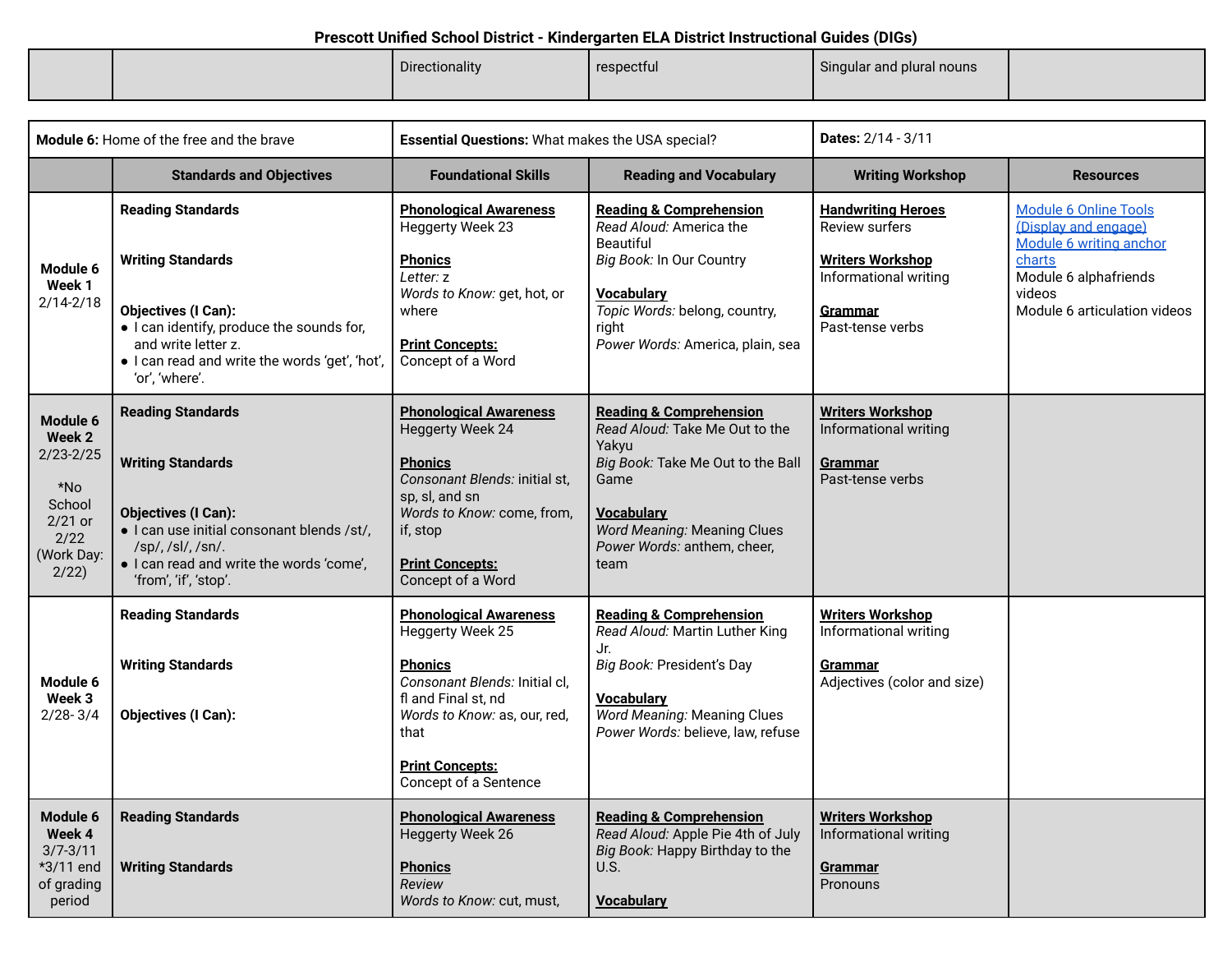|  | Directionality | respectful | Singular and plural nouns |  |
|--|----------------|------------|---------------------------|--|
|  |                |            |                           |  |

|                                                                                                     | <b>Module 6:</b> Home of the free and the brave                                                                                                                                                                            | Essential Questions: What makes the USA special?                                                                                                                                                                       |                                                                                                                                                                                                                              | <b>Dates: 2/14 - 3/11</b>                                                                                                             |                                                                                                                                                              |
|-----------------------------------------------------------------------------------------------------|----------------------------------------------------------------------------------------------------------------------------------------------------------------------------------------------------------------------------|------------------------------------------------------------------------------------------------------------------------------------------------------------------------------------------------------------------------|------------------------------------------------------------------------------------------------------------------------------------------------------------------------------------------------------------------------------|---------------------------------------------------------------------------------------------------------------------------------------|--------------------------------------------------------------------------------------------------------------------------------------------------------------|
|                                                                                                     | <b>Standards and Objectives</b>                                                                                                                                                                                            | <b>Foundational Skills</b>                                                                                                                                                                                             | <b>Reading and Vocabulary</b>                                                                                                                                                                                                |                                                                                                                                       | <b>Resources</b>                                                                                                                                             |
| Module 6<br>Week 1<br>$2/14 - 2/18$                                                                 | <b>Reading Standards</b><br><b>Writing Standards</b><br><b>Objectives (I Can):</b><br>• I can identify, produce the sounds for,<br>and write letter z.<br>· I can read and write the words 'get', 'hot',<br>'or', 'where'. | <b>Phonological Awareness</b><br>Heggerty Week 23<br><u>Phonics</u><br>Letter: z<br>Words to Know: get, hot, or<br>where<br><b>Print Concepts:</b><br>Concept of a Word                                                | <b>Reading &amp; Comprehension</b><br>Read Aloud: America the<br><b>Beautiful</b><br>Big Book: In Our Country<br><b>Vocabulary</b><br>Topic Words: belong, country,<br>right<br>Power Words: America, plain, sea             | <b>Handwriting Heroes</b><br><b>Review surfers</b><br><b>Writers Workshop</b><br>Informational writing<br>Grammar<br>Past-tense verbs | <b>Module 6 Online Tools</b><br>(Display and engage)<br>Module 6 writing anchor<br>charts<br>Module 6 alphafriends<br>videos<br>Module 6 articulation videos |
| Module 6<br>Week 2<br>$2/23 - 2/25$<br>$*$ No<br>School<br>$2/21$ or<br>2/22<br>(Work Day:<br>2/22) | <b>Reading Standards</b><br><b>Writing Standards</b><br><b>Objectives (I Can):</b><br>· I can use initial consonant blends /st/,<br>/sp/, /sl/, /sn/.<br>· I can read and write the words 'come',<br>'from', 'if', 'stop'. | <b>Phonological Awareness</b><br><b>Heggerty Week 24</b><br><b>Phonics</b><br>Consonant Blends: initial st,<br>sp, sl, and sn<br>Words to Know: come, from,<br>if, stop<br><b>Print Concepts:</b><br>Concept of a Word | <b>Reading &amp; Comprehension</b><br>Read Aloud: Take Me Out to the<br>Yakvu<br>Big Book: Take Me Out to the Ball<br>Game<br><b>Vocabulary</b><br><b>Word Meaning: Meaning Clues</b><br>Power Words: anthem, cheer,<br>team | <b>Writers Workshop</b><br>Informational writing<br><u>Grammar</u><br>Past-tense verbs                                                |                                                                                                                                                              |
| Module 6<br>Week 3<br>$2/28 - 3/4$                                                                  | <b>Reading Standards</b><br><b>Writing Standards</b><br><b>Objectives (I Can):</b>                                                                                                                                         | <b>Phonological Awareness</b><br>Heggerty Week 25<br><b>Phonics</b><br>Consonant Blends: Initial cl,<br>fl and Final st, nd<br>Words to Know: as, our, red,<br>that<br><b>Print Concepts:</b><br>Concept of a Sentence | <b>Reading &amp; Comprehension</b><br>Read Aloud: Martin Luther King<br>Jr.<br>Big Book: President's Day<br><u>Vocabulary</u><br>Word Meaning: Meaning Clues<br>Power Words: believe, law, refuse                            | <b>Writers Workshop</b><br>Informational writing<br>Grammar<br>Adjectives (color and size)                                            |                                                                                                                                                              |
| Module 6<br>Week 4<br>$3/7 - 3/11$<br>*3/11 end<br>of grading<br>period                             | <b>Reading Standards</b><br><b>Writing Standards</b>                                                                                                                                                                       | <b>Phonological Awareness</b><br><b>Heggerty Week 26</b><br><b>Phonics</b><br>Review<br>Words to Know: cut, must,                                                                                                      | <b>Reading &amp; Comprehension</b><br>Read Aloud: Apple Pie 4th of July<br>Big Book: Happy Birthday to the<br>U.S.<br><b>Vocabulary</b>                                                                                      | Writers Workshop<br>Informational writing<br>Grammar<br>Pronouns                                                                      |                                                                                                                                                              |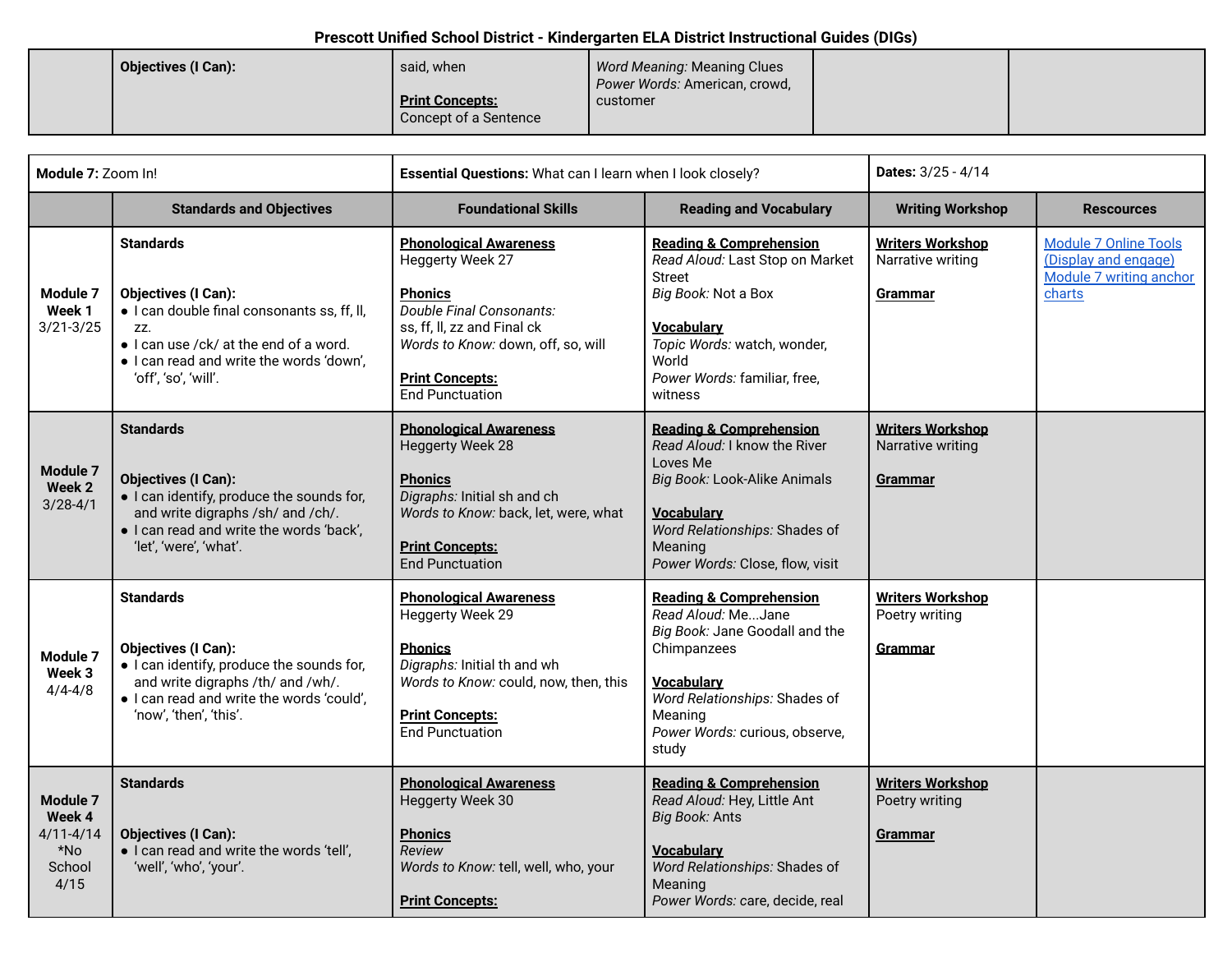| Objectives (I Can): | said, when                                      | Word Meaning: Meaning Clues<br>Power Words: American, crowd, |  |
|---------------------|-------------------------------------------------|--------------------------------------------------------------|--|
|                     | <b>Print Concepts:</b><br>Concept of a Sentence | customer                                                     |  |

| Module 7: Zoom In!                                           |                                                                                                                                                                                                                    | Essential Questions: What can I learn when I look closely?                                                                                                                                                               |                                                                                                                                                                                                                       | <b>Dates: 3/25 - 4/14</b>                                   |                                                                                           |
|--------------------------------------------------------------|--------------------------------------------------------------------------------------------------------------------------------------------------------------------------------------------------------------------|--------------------------------------------------------------------------------------------------------------------------------------------------------------------------------------------------------------------------|-----------------------------------------------------------------------------------------------------------------------------------------------------------------------------------------------------------------------|-------------------------------------------------------------|-------------------------------------------------------------------------------------------|
|                                                              | <b>Standards and Objectives</b>                                                                                                                                                                                    | <b>Foundational Skills</b>                                                                                                                                                                                               | <b>Reading and Vocabulary</b>                                                                                                                                                                                         | <b>Writing Workshop</b>                                     | <b>Rescources</b>                                                                         |
| Module 7<br>Week 1<br>$3/21 - 3/25$                          | <b>Standards</b><br><b>Objectives (I Can):</b><br>• I can double final consonants ss, ff, II,<br>ZZ.<br>• I can use /ck/ at the end of a word.<br>· I can read and write the words 'down',<br>'off', 'so', 'will'. | <b>Phonological Awareness</b><br>Heggerty Week 27<br><b>Phonics</b><br>Double Final Consonants:<br>ss, ff, ll, zz and Final ck<br>Words to Know: down, off, so, will<br><b>Print Concepts:</b><br><b>End Punctuation</b> | <b>Reading &amp; Comprehension</b><br>Read Aloud: Last Stop on Market<br><b>Street</b><br>Big Book: Not a Box<br><b>Vocabulary</b><br>Topic Words: watch, wonder,<br>World<br>Power Words: familiar, free,<br>witness | <b>Writers Workshop</b><br>Narrative writing<br>Grammar     | <b>Module 7 Online Tools</b><br>(Display and engage)<br>Module 7 writing anchor<br>charts |
| Module 7<br>Week 2<br>$3/28 - 4/1$                           | <b>Standards</b><br><b>Objectives (I Can):</b><br>· I can identify, produce the sounds for,<br>and write digraphs /sh/ and /ch/.<br>. I can read and write the words 'back',<br>'let', 'were', 'what'.             | <b>Phonological Awareness</b><br><b>Heggerty Week 28</b><br><b>Phonics</b><br>Digraphs: Initial sh and ch<br>Words to Know: back, let, were, what<br><b>Print Concepts:</b><br><b>End Punctuation</b>                    | <b>Reading &amp; Comprehension</b><br>Read Aloud: I know the River<br>Loves Me<br>Big Book: Look-Alike Animals<br><b>Vocabulary</b><br>Word Relationships: Shades of<br>Meaning<br>Power Words: Close, flow, visit    | <b>Writers Workshop</b><br>Narrative writing<br>Grammar     |                                                                                           |
| Module 7<br>Week 3<br>$4/4 - 4/8$                            | <b>Standards</b><br><b>Objectives (I Can):</b><br>• I can identify, produce the sounds for,<br>and write digraphs /th/ and /wh/.<br>· I can read and write the words 'could',<br>'now', 'then', 'this'.            | <b>Phonological Awareness</b><br>Heggerty Week 29<br><b>Phonics</b><br>Digraphs: Initial th and wh<br>Words to Know: could, now, then, this<br><b>Print Concepts:</b><br><b>End Punctuation</b>                          | <b>Reading &amp; Comprehension</b><br>Read Aloud: MeJane<br>Big Book: Jane Goodall and the<br>Chimpanzees<br><b>Vocabulary</b><br>Word Relationships: Shades of<br>Meaning<br>Power Words: curious, observe,<br>study | <b>Writers Workshop</b><br>Poetry writing<br><b>Grammar</b> |                                                                                           |
| Module 7<br>Week 4<br>$4/11 - 4/14$<br>*No<br>School<br>4/15 | <b>Standards</b><br><b>Objectives (I Can):</b><br>· I can read and write the words 'tell',<br>'well', 'who', 'your'.                                                                                               | <b>Phonological Awareness</b><br>Heggerty Week 30<br><b>Phonics</b><br>Review<br>Words to Know: tell, well, who, your<br><b>Print Concepts:</b>                                                                          | <b>Reading &amp; Comprehension</b><br>Read Aloud: Hey, Little Ant<br>Big Book: Ants<br><b>Vocabulary</b><br>Word Relationships: Shades of<br>Meaning<br>Power Words: care, decide, real                               | <b>Writers Workshop</b><br>Poetry writing<br>Grammar        |                                                                                           |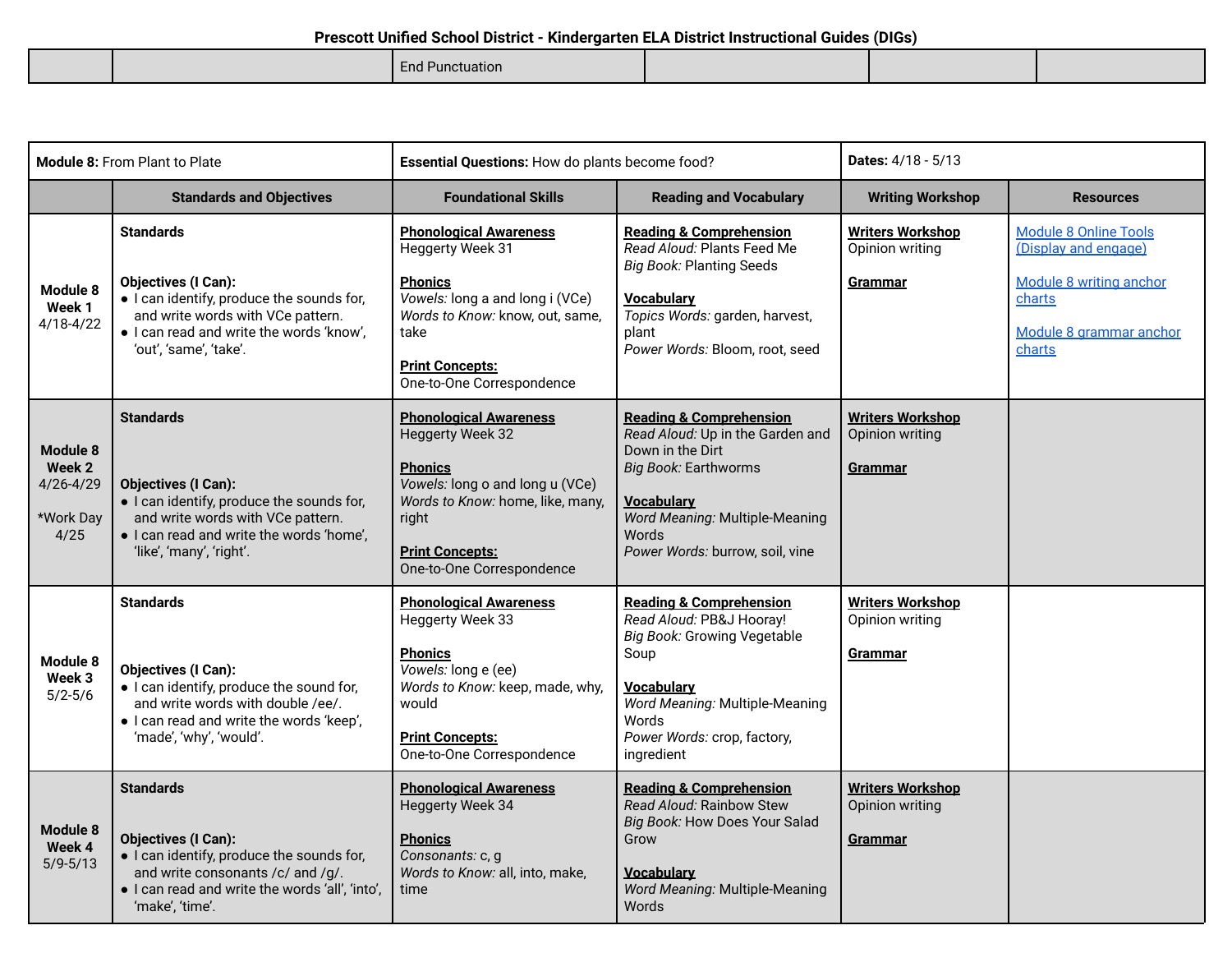End Punctuation

| <b>Module 8: From Plant to Plate</b>                     |                                                                                                                                                                                                          | Essential Questions: How do plants become food?                                                                                                                                                                   |                                                                                                                                                                                                                       | Dates: 4/18 - 5/13                                           |                                                                                                                                |
|----------------------------------------------------------|----------------------------------------------------------------------------------------------------------------------------------------------------------------------------------------------------------|-------------------------------------------------------------------------------------------------------------------------------------------------------------------------------------------------------------------|-----------------------------------------------------------------------------------------------------------------------------------------------------------------------------------------------------------------------|--------------------------------------------------------------|--------------------------------------------------------------------------------------------------------------------------------|
|                                                          | <b>Standards and Objectives</b>                                                                                                                                                                          | <b>Foundational Skills</b><br><b>Reading and Vocabulary</b>                                                                                                                                                       |                                                                                                                                                                                                                       | <b>Writing Workshop</b>                                      | <b>Resources</b>                                                                                                               |
| Module 8<br>Week 1<br>$4/18 - 4/22$                      | <b>Standards</b><br><b>Objectives (I Can):</b><br>• I can identify, produce the sounds for,<br>and write words with VCe pattern.<br>· I can read and write the words 'know',<br>'out', 'same', 'take'.   | <b>Phonological Awareness</b><br><b>Heggerty Week 31</b><br><b>Phonics</b><br>Vowels: long a and long i (VCe)<br>Words to Know: know, out, same,<br>take<br><b>Print Concepts:</b><br>One-to-One Correspondence   | <b>Reading &amp; Comprehension</b><br>Read Aloud: Plants Feed Me<br><b>Big Book: Planting Seeds</b><br><b>Vocabulary</b><br>Topics Words: garden, harvest,<br>plant<br>Power Words: Bloom, root, seed                 | <b>Writers Workshop</b><br>Opinion writing<br>Grammar        | <b>Module 8 Online Tools</b><br>(Display and engage)<br>Module 8 writing anchor<br>charts<br>Module 8 grammar anchor<br>charts |
| Module 8<br>Week 2<br>$4/26 - 4/29$<br>*Work Day<br>4/25 | <b>Standards</b><br><b>Objectives (I Can):</b><br>· I can identify, produce the sounds for,<br>and write words with VCe pattern.<br>. I can read and write the words 'home',<br>'like', 'many', 'right'. | <b>Phonological Awareness</b><br><b>Heggerty Week 32</b><br><b>Phonics</b><br>Vowels: long o and long u (VCe)<br>Words to Know: home, like, many,<br>right<br><b>Print Concepts:</b><br>One-to-One Correspondence | <b>Reading &amp; Comprehension</b><br>Read Aloud: Up in the Garden and<br>Down in the Dirt<br>Big Book: Earthworms<br><b>Vocabulary</b><br>Word Meaning: Multiple-Meaning<br>Words<br>Power Words: burrow, soil, vine | <b>Writers Workshop</b><br>Opinion writing<br><b>Grammar</b> |                                                                                                                                |
| Module 8<br>Week 3<br>$5/2 - 5/6$                        | <b>Standards</b><br><b>Objectives (I Can):</b><br>• I can identify, produce the sound for,<br>and write words with double /ee/.<br>· I can read and write the words 'keep',<br>'made', 'why', 'would'.   | <b>Phonological Awareness</b><br>Heggerty Week 33<br><b>Phonics</b><br>Vowels: long e (ee)<br>Words to Know: keep, made, why,<br>would<br><b>Print Concepts:</b><br>One-to-One Correspondence                     | <b>Reading &amp; Comprehension</b><br>Read Aloud: PB&J Hooray!<br>Big Book: Growing Vegetable<br>Soup<br><b>Vocabulary</b><br>Word Meaning: Multiple-Meaning<br>Words<br>Power Words: crop, factory,<br>ingredient    | <b>Writers Workshop</b><br>Opinion writing<br>Grammar        |                                                                                                                                |
| Module 8<br>Week 4<br>$5/9 - 5/13$                       | <b>Standards</b><br><b>Objectives (I Can):</b><br>· I can identify, produce the sounds for,<br>and write consonants /c/ and /g/.<br>. I can read and write the words 'all', 'into',<br>'make', 'time'.   | <b>Phonological Awareness</b><br>Heggerty Week 34<br><b>Phonics</b><br>Consonants: c, g<br>Words to Know: all, into, make,<br>time                                                                                | <b>Reading &amp; Comprehension</b><br>Read Aloud: Rainbow Stew<br>Big Book: How Does Your Salad<br>Grow<br><b>Vocabulary</b><br>Word Meaning: Multiple-Meaning<br>Words                                               | <b>Writers Workshop</b><br>Opinion writing<br>Grammar        |                                                                                                                                |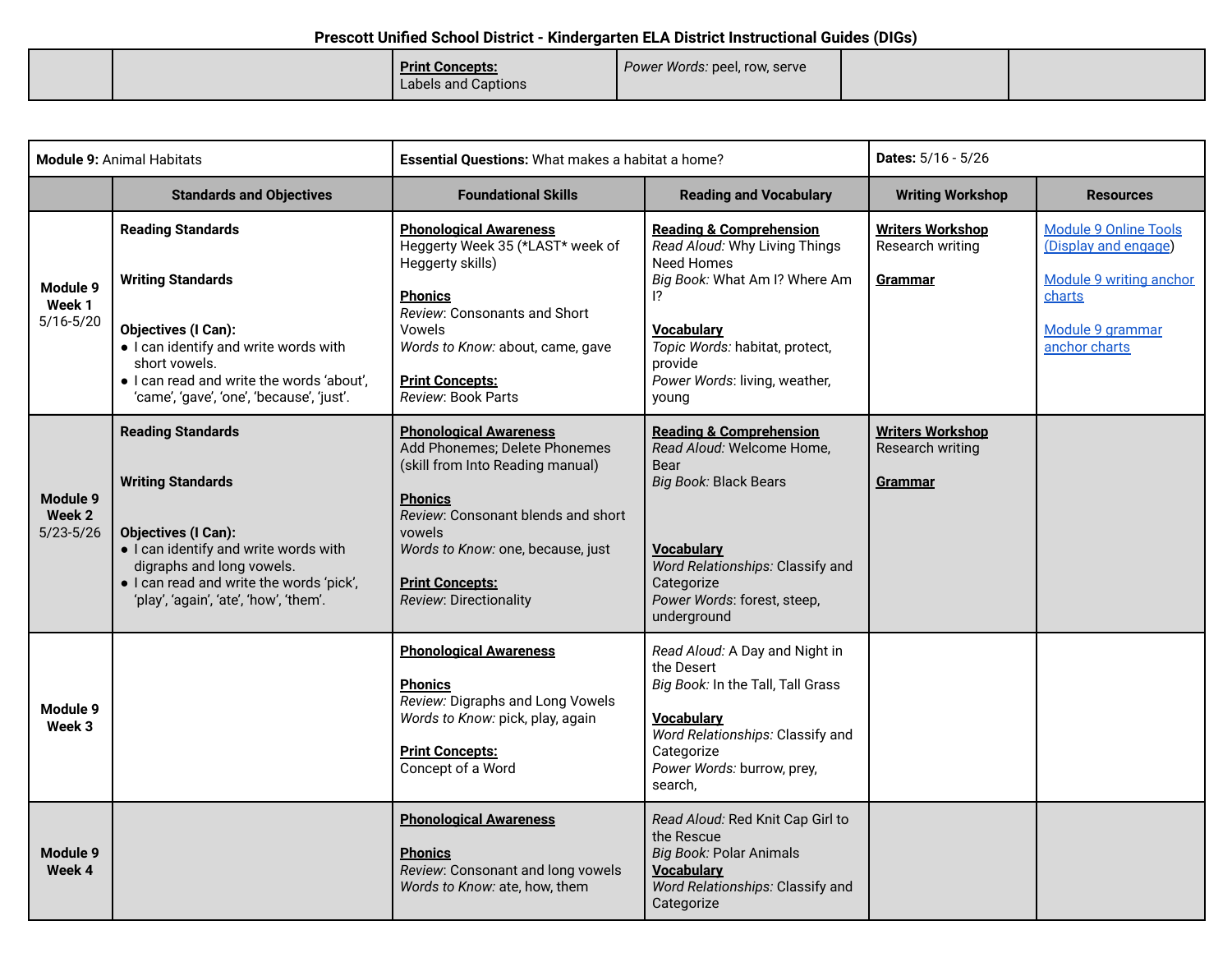| Power Words: peel, row, serve<br><b>Print Concepts:</b><br>Labels and Captions |
|--------------------------------------------------------------------------------|
|--------------------------------------------------------------------------------|

| <b>Module 9: Animal Habitats</b>    |                                                                                                                                                                                                                                                | Essential Questions: What makes a habitat a home?                                                                                                                                                                                                             |                                                                                                                                                                                                                                                          | Dates: 5/16 - 5/26                                     |                                                                                                                                |
|-------------------------------------|------------------------------------------------------------------------------------------------------------------------------------------------------------------------------------------------------------------------------------------------|---------------------------------------------------------------------------------------------------------------------------------------------------------------------------------------------------------------------------------------------------------------|----------------------------------------------------------------------------------------------------------------------------------------------------------------------------------------------------------------------------------------------------------|--------------------------------------------------------|--------------------------------------------------------------------------------------------------------------------------------|
|                                     | <b>Standards and Objectives</b>                                                                                                                                                                                                                | <b>Foundational Skills</b>                                                                                                                                                                                                                                    | <b>Reading and Vocabulary</b>                                                                                                                                                                                                                            | <b>Writing Workshop</b>                                | <b>Resources</b>                                                                                                               |
| Module 9<br>Week 1<br>$5/16 - 5/20$ | <b>Reading Standards</b><br><b>Writing Standards</b><br><b>Objectives (I Can):</b><br>• I can identify and write words with<br>short vowels.<br>· I can read and write the words 'about',<br>'came', 'gave', 'one', 'because', 'just'.         | <b>Phonological Awareness</b><br>Heggerty Week 35 (*LAST* week of<br>Heggerty skills)<br><b>Phonics</b><br>Review: Consonants and Short<br>Vowels<br>Words to Know: about, came, gave<br><b>Print Concepts:</b><br>Review: Book Parts                         | <b>Reading &amp; Comprehension</b><br>Read Aloud: Why Living Things<br><b>Need Homes</b><br>Big Book: What Am I? Where Am<br>$\overline{12}$<br><b>Vocabulary</b><br>Topic Words: habitat, protect,<br>provide<br>Power Words: living, weather,<br>young | <b>Writers Workshop</b><br>Research writing<br>Grammar | <b>Module 9 Online Tools</b><br>(Display and engage)<br>Module 9 writing anchor<br>charts<br>Module 9 grammar<br>anchor charts |
| Module 9<br>Week 2<br>$5/23 - 5/26$ | <b>Reading Standards</b><br><b>Writing Standards</b><br><b>Objectives (I Can):</b><br>• I can identify and write words with<br>digraphs and long vowels.<br>· I can read and write the words 'pick',<br>'play', 'again', 'ate', 'how', 'them'. | <b>Phonological Awareness</b><br>Add Phonemes; Delete Phonemes<br>(skill from Into Reading manual)<br><b>Phonics</b><br>Review: Consonant blends and short<br>vowels<br>Words to Know: one, because, just<br><b>Print Concepts:</b><br>Review: Directionality | <b>Reading &amp; Comprehension</b><br>Read Aloud: Welcome Home,<br>Bear<br>Big Book: Black Bears<br>Vocabulary<br>Word Relationships: Classify and<br>Categorize<br>Power Words: forest, steep,<br>underground                                           | <b>Writers Workshop</b><br>Research writing<br>Grammar |                                                                                                                                |
| Module 9<br>Week 3                  |                                                                                                                                                                                                                                                | <b>Phonological Awareness</b><br><b>Phonics</b><br>Review: Digraphs and Long Vowels<br>Words to Know: pick, play, again<br><b>Print Concepts:</b><br>Concept of a Word                                                                                        | Read Aloud: A Day and Night in<br>the Desert<br>Big Book: In the Tall, Tall Grass<br><b>Vocabulary</b><br>Word Relationships: Classify and<br>Categorize<br>Power Words: burrow, prey,<br>search,                                                        |                                                        |                                                                                                                                |
| <b>Module 9</b><br>Week 4           |                                                                                                                                                                                                                                                | <b>Phonological Awareness</b><br><b>Phonics</b><br>Review: Consonant and long vowels<br>Words to Know: ate, how, them                                                                                                                                         | Read Aloud: Red Knit Cap Girl to<br>the Rescue<br><b>Big Book: Polar Animals</b><br><b>Vocabulary</b><br>Word Relationships: Classify and<br>Categorize                                                                                                  |                                                        |                                                                                                                                |